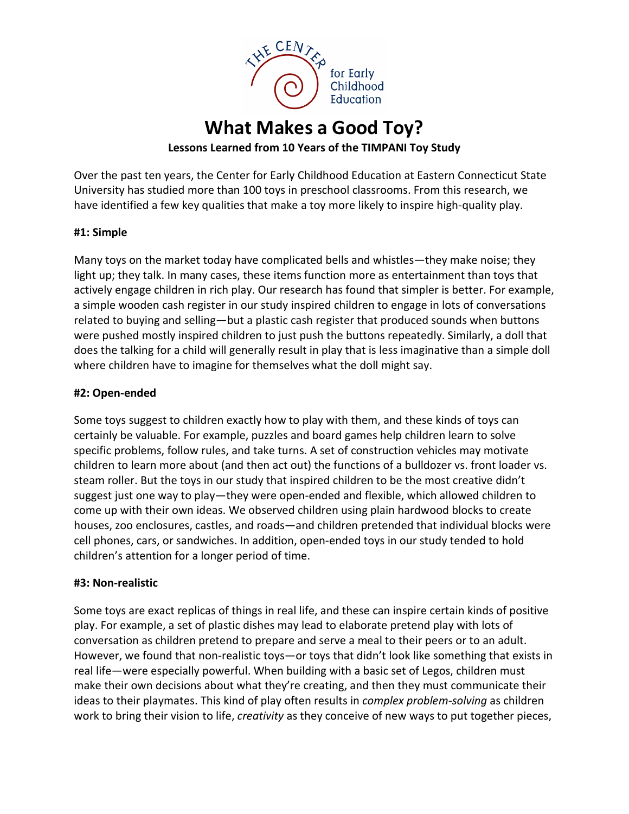

# **What Makes a Good Toy?**

## **Lessons Learned from 10 Years of the TIMPANI Toy Study**

Over the past ten years, the Center for Early Childhood Education at Eastern Connecticut State University has studied more than 100 toys in preschool classrooms. From this research, we have identified a few key qualities that make a toy more likely to inspire high-quality play.

#### **#1: Simple**

Many toys on the market today have complicated bells and whistles—they make noise; they light up; they talk. In many cases, these items function more as entertainment than toys that actively engage children in rich play. Our research has found that simpler is better. For example, a simple wooden cash register in our study inspired children to engage in lots of conversations related to buying and selling—but a plastic cash register that produced sounds when buttons were pushed mostly inspired children to just push the buttons repeatedly. Similarly, a doll that does the talking for a child will generally result in play that is less imaginative than a simple doll where children have to imagine for themselves what the doll might say.

#### **#2: Open-ended**

Some toys suggest to children exactly how to play with them, and these kinds of toys can certainly be valuable. For example, puzzles and board games help children learn to solve specific problems, follow rules, and take turns. A set of construction vehicles may motivate children to learn more about (and then act out) the functions of a bulldozer vs. front loader vs. steam roller. But the toys in our study that inspired children to be the most creative didn't suggest just one way to play—they were open-ended and flexible, which allowed children to come up with their own ideas. We observed children using plain hardwood blocks to create houses, zoo enclosures, castles, and roads—and children pretended that individual blocks were cell phones, cars, or sandwiches. In addition, open-ended toys in our study tended to hold children's attention for a longer period of time.

#### **#3: Non-realistic**

Some toys are exact replicas of things in real life, and these can inspire certain kinds of positive play. For example, a set of plastic dishes may lead to elaborate pretend play with lots of conversation as children pretend to prepare and serve a meal to their peers or to an adult. However, we found that non-realistic toys—or toys that didn't look like something that exists in real life—were especially powerful. When building with a basic set of Legos, children must make their own decisions about what they're creating, and then they must communicate their ideas to their playmates. This kind of play often results in *complex problem-solving* as children work to bring their vision to life, *creativity* as they conceive of new ways to put together pieces,